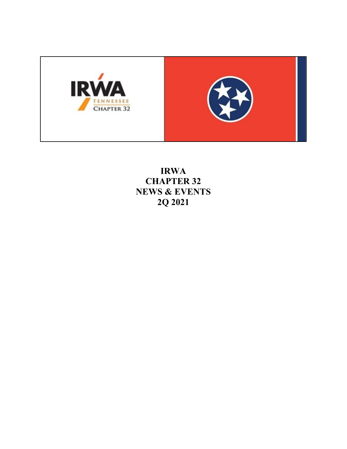

**IRWA CHAPTER 32 NEWS & EVENTS 2Q 2021**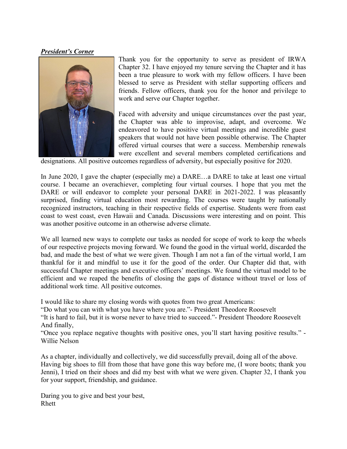## *President's Corner*



Thank you for the opportunity to serve as president of IRWA Chapter 32. I have enjoyed my tenure serving the Chapter and it has been a true pleasure to work with my fellow officers. I have been blessed to serve as President with stellar supporting officers and friends. Fellow officers, thank you for the honor and privilege to work and serve our Chapter together.

Faced with adversity and unique circumstances over the past year, the Chapter was able to improvise, adapt, and overcome. We endeavored to have positive virtual meetings and incredible guest speakers that would not have been possible otherwise. The Chapter offered virtual courses that were a success. Membership renewals were excellent and several members completed certifications and

designations. All positive outcomes regardless of adversity, but especially positive for 2020.

In June 2020, I gave the chapter (especially me) a DARE…a DARE to take at least one virtual course. I became an overachiever, completing four virtual courses. I hope that you met the DARE or will endeavor to complete your personal DARE in 2021-2022. I was pleasantly surprised, finding virtual education most rewarding. The courses were taught by nationally recognized instructors, teaching in their respective fields of expertise. Students were from east coast to west coast, even Hawaii and Canada. Discussions were interesting and on point. This was another positive outcome in an otherwise adverse climate.

We all learned new ways to complete our tasks as needed for scope of work to keep the wheels of our respective projects moving forward. We found the good in the virtual world, discarded the bad, and made the best of what we were given. Though I am not a fan of the virtual world, I am thankful for it and mindful to use it for the good of the order. Our Chapter did that, with successful Chapter meetings and executive officers' meetings. We found the virtual model to be efficient and we reaped the benefits of closing the gaps of distance without travel or loss of additional work time. All positive outcomes.

I would like to share my closing words with quotes from two great Americans:

"Do what you can with what you have where you are."- President Theodore Roosevelt

"It is hard to fail, but it is worse never to have tried to succeed."- President Theodore Roosevelt And finally,

"Once you replace negative thoughts with positive ones, you'll start having positive results." - Willie Nelson

As a chapter, individually and collectively, we did successfully prevail, doing all of the above. Having big shoes to fill from those that have gone this way before me, (I wore boots; thank you Jenni), I tried on their shoes and did my best with what we were given. Chapter 32, I thank you for your support, friendship, and guidance.

Daring you to give and best your best, Rhett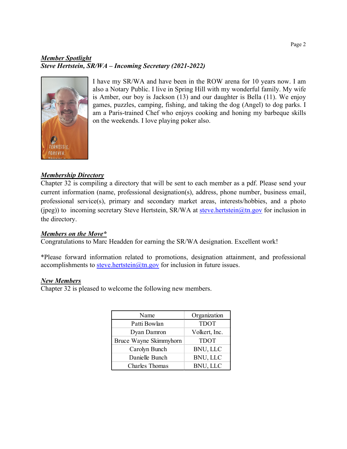# *Member Spotlight Steve Hertstein, SR/WA – Incoming Secretary (2021-2022)*



I have my SR/WA and have been in the ROW arena for 10 years now. I am also a Notary Public. I live in Spring Hill with my wonderful family. My wife is Amber, our boy is Jackson (13) and our daughter is Bella (11). We enjoy games, puzzles, camping, fishing, and taking the dog (Angel) to dog parks. I am a Paris-trained Chef who enjoys cooking and honing my barbeque skills on the weekends. I love playing poker also.

## *Membership Directory*

Chapter 32 is compiling a directory that will be sent to each member as a pdf. Please send your current information (name, professional designation(s), address, phone number, business email, professional service(s), primary and secondary market areas, interests/hobbies, and a photo (jpeg)) to incoming secretary Steve Hertstein, SR/WA at [steve.hertstein@tn.gov](mailto:steve.hertstein@tn.gov) for inclusion in the directory.

## *Members on the Move\**

Congratulations to Marc Headden for earning the SR/WA designation. Excellent work!

\*Please forward information related to promotions, designation attainment, and professional accomplishments to steve.hertstein $@$ tn.gov for inclusion in future issues.

#### *New Members*

Chapter 32 is pleased to welcome the following new members.

| Name                   | Organization    |
|------------------------|-----------------|
| Patti Bowlan           | <b>TDOT</b>     |
| Dyan Damron            | Volkert, Inc.   |
| Bruce Wayne Skimmyhorn | <b>TDOT</b>     |
| Carolyn Bunch          | BNU, LLC        |
| Danielle Bunch         | BNU, LLC        |
| Charles Thomas         | <b>BNU, LLC</b> |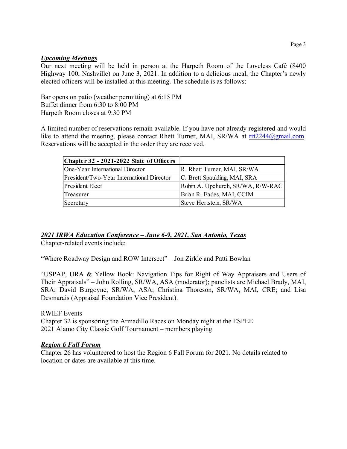#### *Upcoming Meetings*

Our next meeting will be held in person at the Harpeth Room of the Loveless Café (8400 Highway 100, Nashville) on June 3, 2021. In addition to a delicious meal, the Chapter's newly elected officers will be installed at this meeting. The schedule is as follows:

Bar opens on patio (weather permitting) at 6:15 PM Buffet dinner from 6:30 to 8:00 PM Harpeth Room closes at 9:30 PM

A limited number of reservations remain available. If you have not already registered and would like to attend the meeting, please contact Rhett Turner, MAI, SR/WA at [rrt2244@gmail.com.](mailto:rrt2244@gmail.com) Reservations will be accepted in the order they are received.

| Chapter 32 - 2021-2022 Slate of Officers  |                                   |
|-------------------------------------------|-----------------------------------|
| One-Year International Director           | R. Rhett Turner, MAI, SR/WA       |
| President/Two-Year International Director | C. Brett Spaulding, MAI, SRA      |
| President Elect                           | Robin A. Upchurch, SR/WA, R/W-RAC |
| Treasurer                                 | Brian R. Eades, MAI, CCIM         |
| Secretary                                 | Steve Hertstein, SR/WA            |

# *2021 IRWA Education Conference – June 6-9, 2021, San Antonio, Texas*

Chapter-related events include:

"Where Roadway Design and ROW Intersect" – Jon Zirkle and Patti Bowlan

"USPAP, URA & Yellow Book: Navigation Tips for Right of Way Appraisers and Users of Their Appraisals" – John Rolling, SR/WA, ASA (moderator); panelists are Michael Brady, MAI, SRA; David Burgoyne, SR/WA, ASA; Christina Thoreson, SR/WA, MAI, CRE; and Lisa Desmarais (Appraisal Foundation Vice President).

RWIEF Events Chapter 32 is sponsoring the Armadillo Races on Monday night at the ESPEE 2021 Alamo City Classic Golf Tournament – members playing

## *Region 6 Fall Forum*

Chapter 26 has volunteered to host the Region 6 Fall Forum for 2021. No details related to location or dates are available at this time.